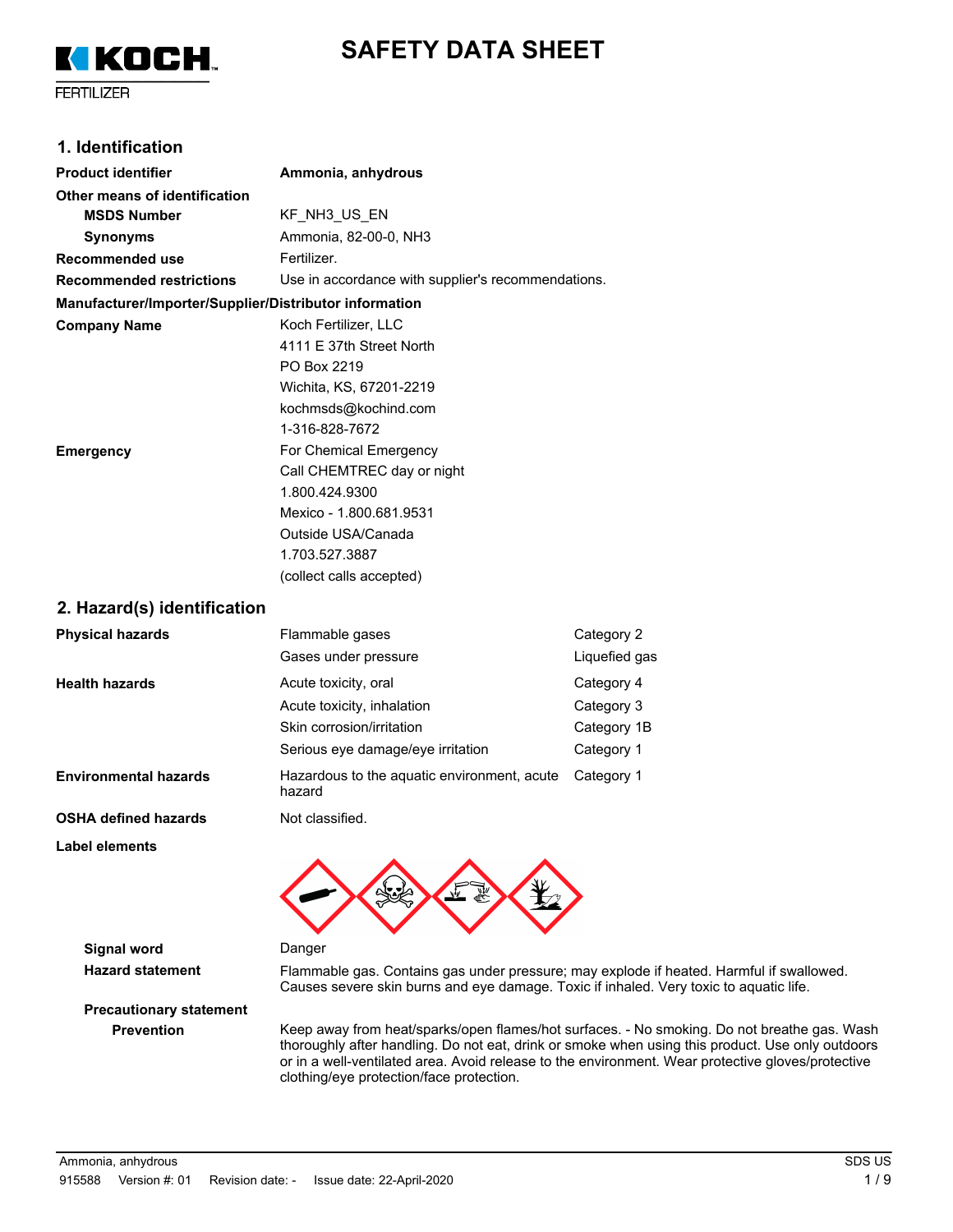



**FERTILIZER** 

### **1. Identification**

| <b>Product identifier</b>                              | Ammonia, anhydrous                                 |
|--------------------------------------------------------|----------------------------------------------------|
| Other means of identification                          |                                                    |
| <b>MSDS Number</b>                                     | KF_NH3_US_EN                                       |
| <b>Synonyms</b>                                        | Ammonia, 82-00-0, NH3                              |
| Recommended use                                        | Fertilizer.                                        |
| <b>Recommended restrictions</b>                        | Use in accordance with supplier's recommendations. |
| Manufacturer/Importer/Supplier/Distributor information |                                                    |
| <b>Company Name</b>                                    | Koch Fertilizer, LLC                               |
|                                                        | 4111 F 37th Street North                           |
|                                                        | PO Box 2219                                        |
|                                                        | Wichita, KS, 67201-2219                            |
|                                                        | kochmsds@kochind.com                               |
|                                                        | 1-316-828-7672                                     |
| Emergency                                              | For Chemical Emergency                             |
|                                                        | Call CHEMTREC day or night                         |
|                                                        | 1.800.424.9300                                     |
|                                                        | Mexico - 1.800.681.9531                            |
|                                                        | Outside USA/Canada                                 |
|                                                        | 1.703.527.3887                                     |
|                                                        | (collect calls accepted)                           |
| 2. Hazard(s) identification                            |                                                    |

| <b>Physical hazards</b>      | Flammable gases<br>Gases under pressure               | Category 2<br>Liquefied gas |
|------------------------------|-------------------------------------------------------|-----------------------------|
| <b>Health hazards</b>        | Acute toxicity, oral                                  | Category 4                  |
|                              | Acute toxicity, inhalation                            | Category 3                  |
|                              | Skin corrosion/irritation                             | Category 1B                 |
|                              | Serious eye damage/eye irritation                     | Category 1                  |
| <b>Environmental hazards</b> | Hazardous to the aquatic environment, acute<br>hazard | Category 1                  |
| <b>OSHA defined hazards</b>  | Not classified.                                       |                             |
| Label elements               |                                                       |                             |



**Signal word Danger** 

**Hazard statement** Flammable gas. Contains gas under pressure; may explode if heated. Harmful if swallowed. Causes severe skin burns and eye damage. Toxic if inhaled. Very toxic to aquatic life.

**Precautionary statement**

**Prevention** Keep away from heat/sparks/open flames/hot surfaces. - No smoking. Do not breathe gas. Wash thoroughly after handling. Do not eat, drink or smoke when using this product. Use only outdoors or in a well-ventilated area. Avoid release to the environment. Wear protective gloves/protective clothing/eye protection/face protection.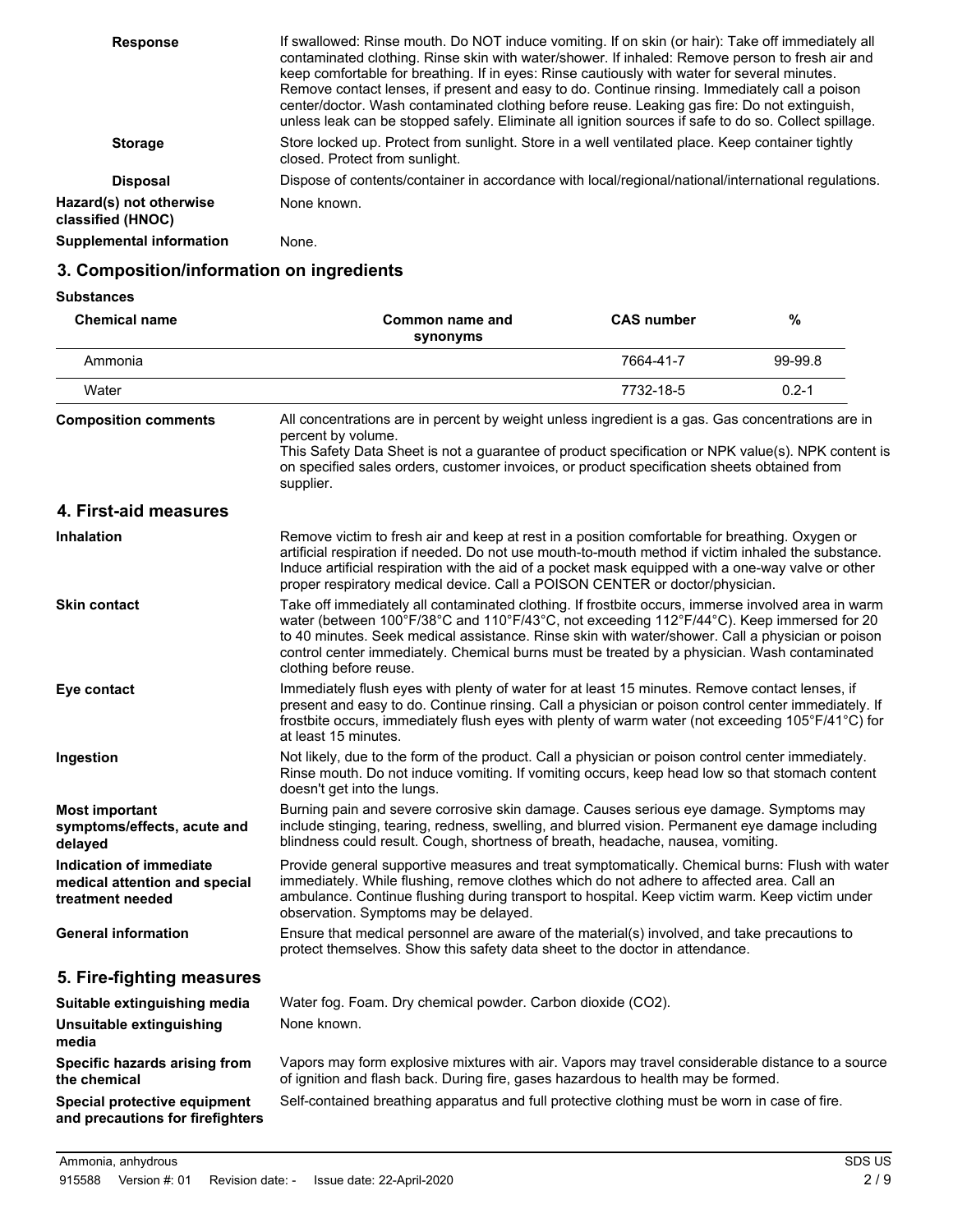| <b>Response</b>                              | If swallowed: Rinse mouth. Do NOT induce vomiting. If on skin (or hair): Take off immediately all<br>contaminated clothing. Rinse skin with water/shower. If inhaled: Remove person to fresh air and<br>keep comfortable for breathing. If in eyes: Rinse cautiously with water for several minutes.<br>Remove contact lenses, if present and easy to do. Continue rinsing. Immediately call a poison<br>center/doctor. Wash contaminated clothing before reuse. Leaking gas fire: Do not extinguish,<br>unless leak can be stopped safely. Eliminate all ignition sources if safe to do so. Collect spillage. |
|----------------------------------------------|----------------------------------------------------------------------------------------------------------------------------------------------------------------------------------------------------------------------------------------------------------------------------------------------------------------------------------------------------------------------------------------------------------------------------------------------------------------------------------------------------------------------------------------------------------------------------------------------------------------|
| <b>Storage</b>                               | Store locked up. Protect from sunlight. Store in a well ventilated place. Keep container tightly<br>closed. Protect from sunlight.                                                                                                                                                                                                                                                                                                                                                                                                                                                                             |
| <b>Disposal</b>                              | Dispose of contents/container in accordance with local/regional/national/international regulations.                                                                                                                                                                                                                                                                                                                                                                                                                                                                                                            |
| Hazard(s) not otherwise<br>classified (HNOC) | None known.                                                                                                                                                                                                                                                                                                                                                                                                                                                                                                                                                                                                    |
| <b>Supplemental information</b>              | None.                                                                                                                                                                                                                                                                                                                                                                                                                                                                                                                                                                                                          |

## **3. Composition/information on ingredients**

| Substances |  |
|------------|--|
|------------|--|

| <b>Chemical name</b>                                                         | Common name and<br>synonyms                                                                                                                                                                                                                                                                                                                                                                                                   | <b>CAS number</b> | $\%$      |
|------------------------------------------------------------------------------|-------------------------------------------------------------------------------------------------------------------------------------------------------------------------------------------------------------------------------------------------------------------------------------------------------------------------------------------------------------------------------------------------------------------------------|-------------------|-----------|
| Ammonia                                                                      |                                                                                                                                                                                                                                                                                                                                                                                                                               | 7664-41-7         | 99-99.8   |
| Water                                                                        |                                                                                                                                                                                                                                                                                                                                                                                                                               | 7732-18-5         | $0.2 - 1$ |
| <b>Composition comments</b>                                                  | All concentrations are in percent by weight unless ingredient is a gas. Gas concentrations are in<br>percent by volume.<br>This Safety Data Sheet is not a guarantee of product specification or NPK value(s). NPK content is<br>on specified sales orders, customer invoices, or product specification sheets obtained from<br>supplier.                                                                                     |                   |           |
| 4. First-aid measures                                                        |                                                                                                                                                                                                                                                                                                                                                                                                                               |                   |           |
| <b>Inhalation</b>                                                            | Remove victim to fresh air and keep at rest in a position comfortable for breathing. Oxygen or<br>artificial respiration if needed. Do not use mouth-to-mouth method if victim inhaled the substance.<br>Induce artificial respiration with the aid of a pocket mask equipped with a one-way valve or other<br>proper respiratory medical device. Call a POISON CENTER or doctor/physician.                                   |                   |           |
| <b>Skin contact</b>                                                          | Take off immediately all contaminated clothing. If frostbite occurs, immerse involved area in warm<br>water (between 100°F/38°C and 110°F/43°C, not exceeding 112°F/44°C). Keep immersed for 20<br>to 40 minutes. Seek medical assistance. Rinse skin with water/shower. Call a physician or poison<br>control center immediately. Chemical burns must be treated by a physician. Wash contaminated<br>clothing before reuse. |                   |           |
| Eye contact                                                                  | Immediately flush eyes with plenty of water for at least 15 minutes. Remove contact lenses, if<br>present and easy to do. Continue rinsing. Call a physician or poison control center immediately. If<br>frostbite occurs, immediately flush eyes with plenty of warm water (not exceeding 105°F/41°C) for<br>at least 15 minutes.                                                                                            |                   |           |
| Ingestion                                                                    | Not likely, due to the form of the product. Call a physician or poison control center immediately.<br>Rinse mouth. Do not induce vomiting. If vomiting occurs, keep head low so that stomach content<br>doesn't get into the lungs.                                                                                                                                                                                           |                   |           |
| <b>Most important</b><br>symptoms/effects, acute and<br>delayed              | Burning pain and severe corrosive skin damage. Causes serious eye damage. Symptoms may<br>include stinging, tearing, redness, swelling, and blurred vision. Permanent eye damage including<br>blindness could result. Cough, shortness of breath, headache, nausea, vomiting.                                                                                                                                                 |                   |           |
| Indication of immediate<br>medical attention and special<br>treatment needed | Provide general supportive measures and treat symptomatically. Chemical burns: Flush with water<br>immediately. While flushing, remove clothes which do not adhere to affected area. Call an<br>ambulance. Continue flushing during transport to hospital. Keep victim warm. Keep victim under<br>observation. Symptoms may be delayed.                                                                                       |                   |           |
| <b>General information</b>                                                   | Ensure that medical personnel are aware of the material(s) involved, and take precautions to<br>protect themselves. Show this safety data sheet to the doctor in attendance.                                                                                                                                                                                                                                                  |                   |           |
| 5. Fire-fighting measures                                                    |                                                                                                                                                                                                                                                                                                                                                                                                                               |                   |           |
| Suitable extinguishing media                                                 | Water fog. Foam. Dry chemical powder. Carbon dioxide (CO2).                                                                                                                                                                                                                                                                                                                                                                   |                   |           |
| <b>Unsuitable extinguishing</b><br>media                                     | None known.                                                                                                                                                                                                                                                                                                                                                                                                                   |                   |           |
| Specific hazards arising from<br>the chemical                                | Vapors may form explosive mixtures with air. Vapors may travel considerable distance to a source<br>of ignition and flash back. During fire, gases hazardous to health may be formed.                                                                                                                                                                                                                                         |                   |           |
| Special protective equipment<br>and precautions for firefighters             | Self-contained breathing apparatus and full protective clothing must be worn in case of fire.                                                                                                                                                                                                                                                                                                                                 |                   |           |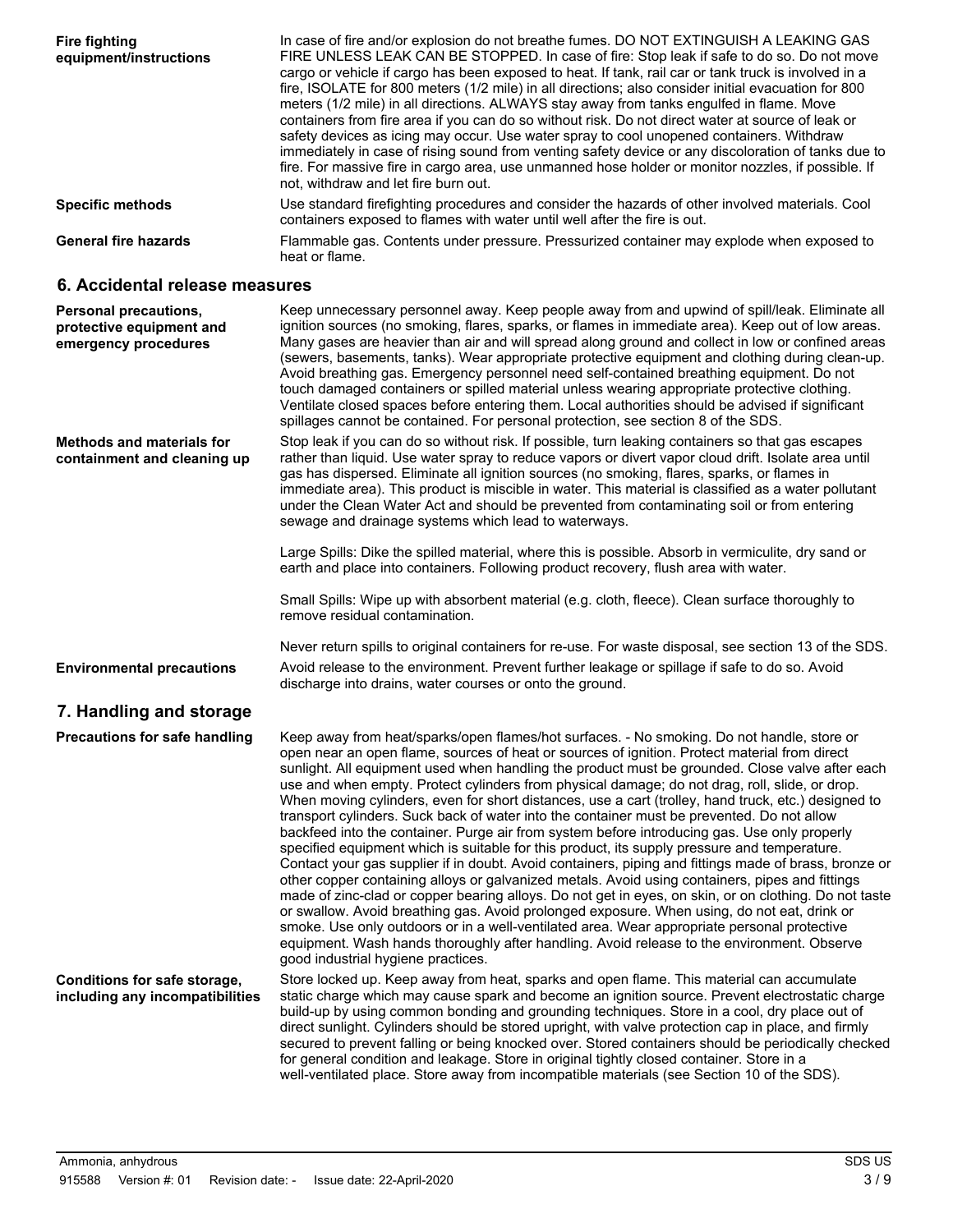| <b>Fire fighting</b><br>equipment/instructions                            | In case of fire and/or explosion do not breathe fumes. DO NOT EXTINGUISH A LEAKING GAS<br>FIRE UNLESS LEAK CAN BE STOPPED. In case of fire: Stop leak if safe to do so. Do not move<br>cargo or vehicle if cargo has been exposed to heat. If tank, rail car or tank truck is involved in a<br>fire, ISOLATE for 800 meters (1/2 mile) in all directions; also consider initial evacuation for 800<br>meters (1/2 mile) in all directions. ALWAYS stay away from tanks engulfed in flame. Move<br>containers from fire area if you can do so without risk. Do not direct water at source of leak or<br>safety devices as icing may occur. Use water spray to cool unopened containers. Withdraw<br>immediately in case of rising sound from venting safety device or any discoloration of tanks due to<br>fire. For massive fire in cargo area, use unmanned hose holder or monitor nozzles, if possible. If<br>not, withdraw and let fire burn out.                                                                                                                                                                                                                                                                                                                                                                                                                                                                                                         |
|---------------------------------------------------------------------------|--------------------------------------------------------------------------------------------------------------------------------------------------------------------------------------------------------------------------------------------------------------------------------------------------------------------------------------------------------------------------------------------------------------------------------------------------------------------------------------------------------------------------------------------------------------------------------------------------------------------------------------------------------------------------------------------------------------------------------------------------------------------------------------------------------------------------------------------------------------------------------------------------------------------------------------------------------------------------------------------------------------------------------------------------------------------------------------------------------------------------------------------------------------------------------------------------------------------------------------------------------------------------------------------------------------------------------------------------------------------------------------------------------------------------------------------------------------|
| <b>Specific methods</b>                                                   | Use standard firefighting procedures and consider the hazards of other involved materials. Cool<br>containers exposed to flames with water until well after the fire is out.                                                                                                                                                                                                                                                                                                                                                                                                                                                                                                                                                                                                                                                                                                                                                                                                                                                                                                                                                                                                                                                                                                                                                                                                                                                                                 |
| <b>General fire hazards</b>                                               | Flammable gas. Contents under pressure. Pressurized container may explode when exposed to<br>heat or flame.                                                                                                                                                                                                                                                                                                                                                                                                                                                                                                                                                                                                                                                                                                                                                                                                                                                                                                                                                                                                                                                                                                                                                                                                                                                                                                                                                  |
| 6. Accidental release measures                                            |                                                                                                                                                                                                                                                                                                                                                                                                                                                                                                                                                                                                                                                                                                                                                                                                                                                                                                                                                                                                                                                                                                                                                                                                                                                                                                                                                                                                                                                              |
| Personal precautions,<br>protective equipment and<br>emergency procedures | Keep unnecessary personnel away. Keep people away from and upwind of spill/leak. Eliminate all<br>ignition sources (no smoking, flares, sparks, or flames in immediate area). Keep out of low areas.<br>Many gases are heavier than air and will spread along ground and collect in low or confined areas<br>(sewers, basements, tanks). Wear appropriate protective equipment and clothing during clean-up.<br>Avoid breathing gas. Emergency personnel need self-contained breathing equipment. Do not<br>touch damaged containers or spilled material unless wearing appropriate protective clothing.<br>Ventilate closed spaces before entering them. Local authorities should be advised if significant<br>spillages cannot be contained. For personal protection, see section 8 of the SDS.                                                                                                                                                                                                                                                                                                                                                                                                                                                                                                                                                                                                                                                            |
| <b>Methods and materials for</b><br>containment and cleaning up           | Stop leak if you can do so without risk. If possible, turn leaking containers so that gas escapes<br>rather than liquid. Use water spray to reduce vapors or divert vapor cloud drift. Isolate area until<br>gas has dispersed. Eliminate all ignition sources (no smoking, flares, sparks, or flames in<br>immediate area). This product is miscible in water. This material is classified as a water pollutant<br>under the Clean Water Act and should be prevented from contaminating soil or from entering<br>sewage and drainage systems which lead to waterways.<br>Large Spills: Dike the spilled material, where this is possible. Absorb in vermiculite, dry sand or<br>earth and place into containers. Following product recovery, flush area with water.                                                                                                                                                                                                                                                                                                                                                                                                                                                                                                                                                                                                                                                                                         |
|                                                                           | Small Spills: Wipe up with absorbent material (e.g. cloth, fleece). Clean surface thoroughly to<br>remove residual contamination.                                                                                                                                                                                                                                                                                                                                                                                                                                                                                                                                                                                                                                                                                                                                                                                                                                                                                                                                                                                                                                                                                                                                                                                                                                                                                                                            |
|                                                                           | Never return spills to original containers for re-use. For waste disposal, see section 13 of the SDS.                                                                                                                                                                                                                                                                                                                                                                                                                                                                                                                                                                                                                                                                                                                                                                                                                                                                                                                                                                                                                                                                                                                                                                                                                                                                                                                                                        |
| <b>Environmental precautions</b>                                          | Avoid release to the environment. Prevent further leakage or spillage if safe to do so. Avoid<br>discharge into drains, water courses or onto the ground.                                                                                                                                                                                                                                                                                                                                                                                                                                                                                                                                                                                                                                                                                                                                                                                                                                                                                                                                                                                                                                                                                                                                                                                                                                                                                                    |
| 7. Handling and storage                                                   |                                                                                                                                                                                                                                                                                                                                                                                                                                                                                                                                                                                                                                                                                                                                                                                                                                                                                                                                                                                                                                                                                                                                                                                                                                                                                                                                                                                                                                                              |
| Precautions for safe handling                                             | Keep away from heat/sparks/open flames/hot surfaces. - No smoking. Do not handle, store or<br>open near an open flame, sources of heat or sources of ignition. Protect material from direct<br>sunlight. All equipment used when handling the product must be grounded. Close valve after each<br>use and when empty. Protect cylinders from physical damage; do not drag, roll, slide, or drop.<br>When moving cylinders, even for short distances, use a cart (trolley, hand truck, etc.) designed to<br>transport cylinders. Suck back of water into the container must be prevented. Do not allow<br>backfeed into the container. Purge air from system before introducing gas. Use only properly<br>specified equipment which is suitable for this product, its supply pressure and temperature.<br>Contact your gas supplier if in doubt. Avoid containers, piping and fittings made of brass, bronze or<br>other copper containing alloys or galvanized metals. Avoid using containers, pipes and fittings<br>made of zinc-clad or copper bearing alloys. Do not get in eyes, on skin, or on clothing. Do not taste<br>or swallow. Avoid breathing gas. Avoid prolonged exposure. When using, do not eat, drink or<br>smoke. Use only outdoors or in a well-ventilated area. Wear appropriate personal protective<br>equipment. Wash hands thoroughly after handling. Avoid release to the environment. Observe<br>good industrial hygiene practices. |
| Conditions for safe storage,<br>including any incompatibilities           | Store locked up. Keep away from heat, sparks and open flame. This material can accumulate<br>static charge which may cause spark and become an ignition source. Prevent electrostatic charge<br>build-up by using common bonding and grounding techniques. Store in a cool, dry place out of<br>direct sunlight. Cylinders should be stored upright, with valve protection cap in place, and firmly<br>secured to prevent falling or being knocked over. Stored containers should be periodically checked<br>for general condition and leakage. Store in original tightly closed container. Store in a<br>well-ventilated place. Store away from incompatible materials (see Section 10 of the SDS).                                                                                                                                                                                                                                                                                                                                                                                                                                                                                                                                                                                                                                                                                                                                                         |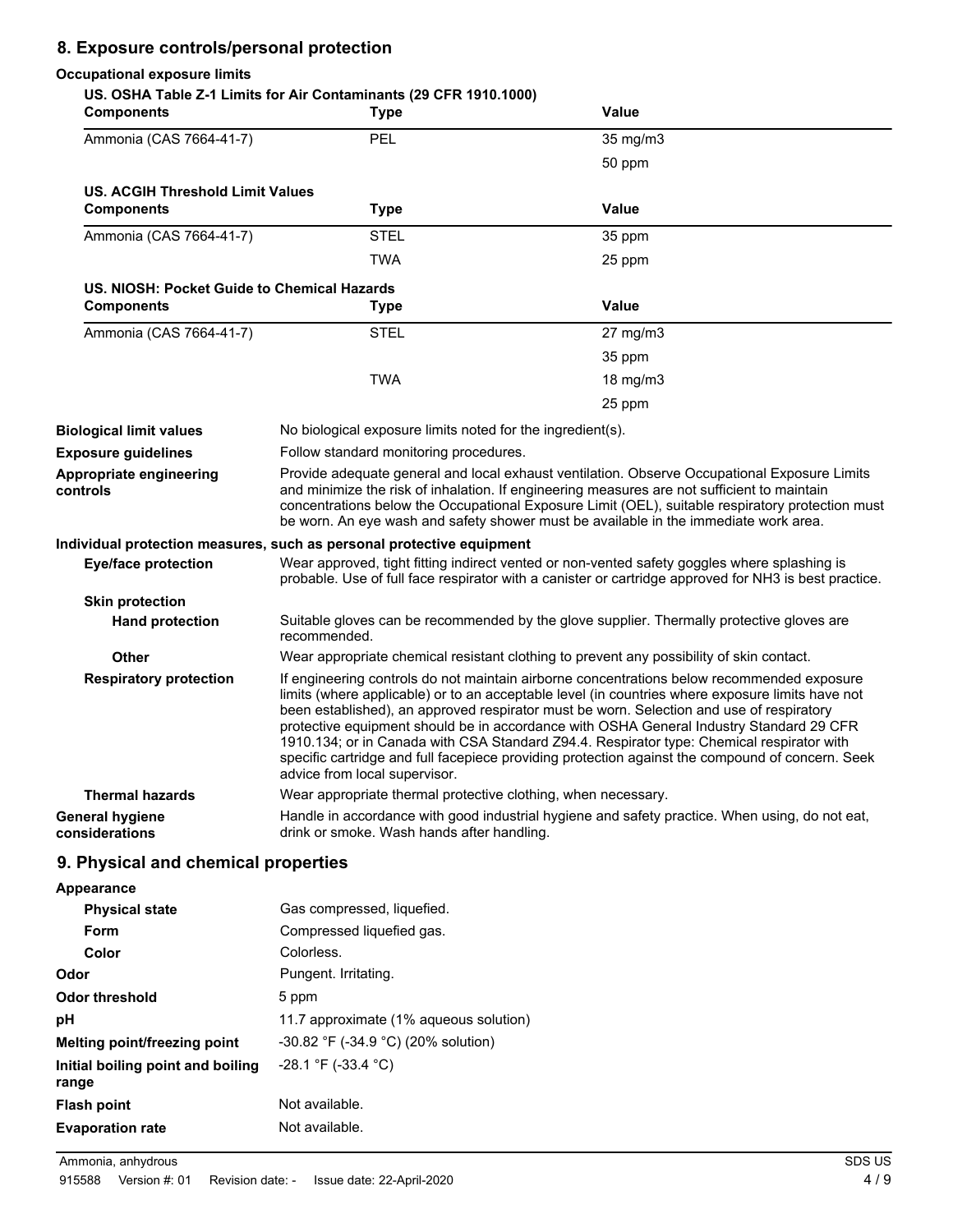## **8. Exposure controls/personal protection**

#### **Occupational exposure limits**

|                   | US. OSHA Table Z-1 Limits for Air Contaminants (29 CFR 1910.1000) |     |
|-------------------|-------------------------------------------------------------------|-----|
| <b>Components</b> | Tvne                                                              | Val |

| <b>Components</b>                                                     | <b>Type</b>                                                                                                                                                                                                                                                                                                                                                                                                                                                                                                                                                                                                             | Value                                                                                                                                                                                                 |
|-----------------------------------------------------------------------|-------------------------------------------------------------------------------------------------------------------------------------------------------------------------------------------------------------------------------------------------------------------------------------------------------------------------------------------------------------------------------------------------------------------------------------------------------------------------------------------------------------------------------------------------------------------------------------------------------------------------|-------------------------------------------------------------------------------------------------------------------------------------------------------------------------------------------------------|
| Ammonia (CAS 7664-41-7)                                               | PEL                                                                                                                                                                                                                                                                                                                                                                                                                                                                                                                                                                                                                     | 35 mg/m3                                                                                                                                                                                              |
|                                                                       |                                                                                                                                                                                                                                                                                                                                                                                                                                                                                                                                                                                                                         | 50 ppm                                                                                                                                                                                                |
| <b>US. ACGIH Threshold Limit Values</b>                               |                                                                                                                                                                                                                                                                                                                                                                                                                                                                                                                                                                                                                         |                                                                                                                                                                                                       |
| <b>Components</b>                                                     | <b>Type</b>                                                                                                                                                                                                                                                                                                                                                                                                                                                                                                                                                                                                             | Value                                                                                                                                                                                                 |
| Ammonia (CAS 7664-41-7)                                               | <b>STEL</b>                                                                                                                                                                                                                                                                                                                                                                                                                                                                                                                                                                                                             | 35 ppm                                                                                                                                                                                                |
|                                                                       | TWA                                                                                                                                                                                                                                                                                                                                                                                                                                                                                                                                                                                                                     | 25 ppm                                                                                                                                                                                                |
| US. NIOSH: Pocket Guide to Chemical Hazards                           |                                                                                                                                                                                                                                                                                                                                                                                                                                                                                                                                                                                                                         |                                                                                                                                                                                                       |
| <b>Components</b>                                                     | <b>Type</b>                                                                                                                                                                                                                                                                                                                                                                                                                                                                                                                                                                                                             | Value                                                                                                                                                                                                 |
| Ammonia (CAS 7664-41-7)                                               | <b>STEL</b>                                                                                                                                                                                                                                                                                                                                                                                                                                                                                                                                                                                                             | $27 \text{ mg/m}$ 3                                                                                                                                                                                   |
|                                                                       |                                                                                                                                                                                                                                                                                                                                                                                                                                                                                                                                                                                                                         | 35 ppm                                                                                                                                                                                                |
|                                                                       | TWA                                                                                                                                                                                                                                                                                                                                                                                                                                                                                                                                                                                                                     | 18 mg/m3                                                                                                                                                                                              |
|                                                                       |                                                                                                                                                                                                                                                                                                                                                                                                                                                                                                                                                                                                                         | 25 ppm                                                                                                                                                                                                |
| <b>Biological limit values</b>                                        | No biological exposure limits noted for the ingredient(s).                                                                                                                                                                                                                                                                                                                                                                                                                                                                                                                                                              |                                                                                                                                                                                                       |
| <b>Exposure guidelines</b>                                            | Follow standard monitoring procedures.                                                                                                                                                                                                                                                                                                                                                                                                                                                                                                                                                                                  |                                                                                                                                                                                                       |
| Appropriate engineering<br>controls                                   | Provide adequate general and local exhaust ventilation. Observe Occupational Exposure Limits<br>and minimize the risk of inhalation. If engineering measures are not sufficient to maintain<br>concentrations below the Occupational Exposure Limit (OEL), suitable respiratory protection must<br>be worn. An eye wash and safety shower must be available in the immediate work area.                                                                                                                                                                                                                                 |                                                                                                                                                                                                       |
| Individual protection measures, such as personal protective equipment |                                                                                                                                                                                                                                                                                                                                                                                                                                                                                                                                                                                                                         |                                                                                                                                                                                                       |
| <b>Eye/face protection</b>                                            |                                                                                                                                                                                                                                                                                                                                                                                                                                                                                                                                                                                                                         | Wear approved, tight fitting indirect vented or non-vented safety goggles where splashing is<br>probable. Use of full face respirator with a canister or cartridge approved for NH3 is best practice. |
| <b>Skin protection</b>                                                |                                                                                                                                                                                                                                                                                                                                                                                                                                                                                                                                                                                                                         |                                                                                                                                                                                                       |
| <b>Hand protection</b>                                                | recommended.                                                                                                                                                                                                                                                                                                                                                                                                                                                                                                                                                                                                            | Suitable gloves can be recommended by the glove supplier. Thermally protective gloves are                                                                                                             |
| <b>Other</b>                                                          |                                                                                                                                                                                                                                                                                                                                                                                                                                                                                                                                                                                                                         | Wear appropriate chemical resistant clothing to prevent any possibility of skin contact.                                                                                                              |
| <b>Respiratory protection</b>                                         | If engineering controls do not maintain airborne concentrations below recommended exposure<br>limits (where applicable) or to an acceptable level (in countries where exposure limits have not<br>been established), an approved respirator must be worn. Selection and use of respiratory<br>protective equipment should be in accordance with OSHA General Industry Standard 29 CFR<br>1910.134; or in Canada with CSA Standard Z94.4. Respirator type: Chemical respirator with<br>specific cartridge and full facepiece providing protection against the compound of concern. Seek<br>advice from local supervisor. |                                                                                                                                                                                                       |
| <b>Thermal hazards</b>                                                | Wear appropriate thermal protective clothing, when necessary.                                                                                                                                                                                                                                                                                                                                                                                                                                                                                                                                                           |                                                                                                                                                                                                       |
| <b>General hygiene</b><br>considerations                              | drink or smoke. Wash hands after handling.                                                                                                                                                                                                                                                                                                                                                                                                                                                                                                                                                                              | Handle in accordance with good industrial hygiene and safety practice. When using, do not eat,                                                                                                        |

## **9. Physical and chemical properties**

| <b>Physical state</b>                      | Gas compressed, liquefied.               |
|--------------------------------------------|------------------------------------------|
| Form                                       | Compressed liquefied gas.                |
| Color                                      | Colorless.                               |
| Odor                                       | Pungent. Irritating.                     |
| Odor threshold                             | 5 ppm                                    |
| рH                                         | 11.7 approximate (1% aqueous solution)   |
| Melting point/freezing point               | $-30.82$ °F ( $-34.9$ °C) (20% solution) |
| Initial boiling point and boiling<br>range | $-28.1$ °F (-33.4 °C)                    |
| Flash point                                | Not available.                           |
| <b>Evaporation rate</b>                    | Not available.                           |

Ammonia, anhydrous SDS US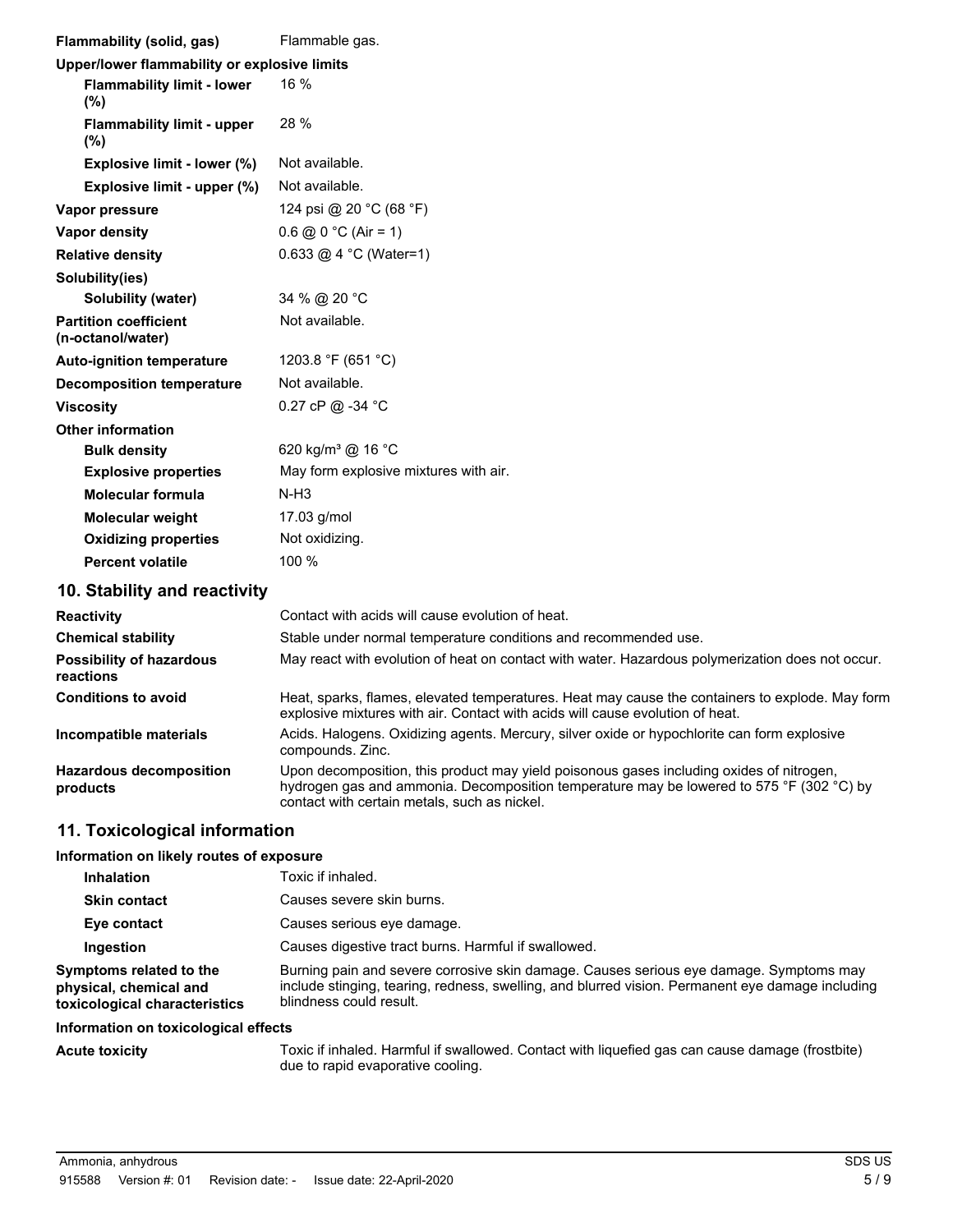| Flammability (solid, gas)                         | Flammable gas.                                                                                                                                                                   |
|---------------------------------------------------|----------------------------------------------------------------------------------------------------------------------------------------------------------------------------------|
| Upper/lower flammability or explosive limits      |                                                                                                                                                                                  |
| <b>Flammability limit - lower</b><br>(%)          | $16\%$                                                                                                                                                                           |
| <b>Flammability limit - upper</b><br>$(\%)$       | 28 %                                                                                                                                                                             |
| Explosive limit - lower (%)                       | Not available.                                                                                                                                                                   |
| Explosive limit - upper (%)                       | Not available.                                                                                                                                                                   |
| Vapor pressure                                    | 124 psi @ 20 °C (68 °F)                                                                                                                                                          |
| <b>Vapor density</b>                              | $0.6$ @ $0^{\circ}$ C (Air = 1)                                                                                                                                                  |
| <b>Relative density</b>                           | 0.633 @ 4 °C (Water=1)                                                                                                                                                           |
| Solubility(ies)                                   |                                                                                                                                                                                  |
| <b>Solubility (water)</b>                         | 34 % @ 20 °C                                                                                                                                                                     |
| <b>Partition coefficient</b><br>(n-octanol/water) | Not available.                                                                                                                                                                   |
| <b>Auto-ignition temperature</b>                  | 1203.8 °F (651 °C)                                                                                                                                                               |
| <b>Decomposition temperature</b>                  | Not available.                                                                                                                                                                   |
| <b>Viscosity</b>                                  | 0.27 cP @ -34 °C                                                                                                                                                                 |
| <b>Other information</b>                          |                                                                                                                                                                                  |
| <b>Bulk density</b>                               | 620 kg/m <sup>3</sup> @ 16 °C                                                                                                                                                    |
| <b>Explosive properties</b>                       | May form explosive mixtures with air.                                                                                                                                            |
| <b>Molecular formula</b>                          | $N-H3$                                                                                                                                                                           |
| Molecular weight                                  | 17.03 g/mol                                                                                                                                                                      |
| <b>Oxidizing properties</b>                       | Not oxidizing.                                                                                                                                                                   |
| <b>Percent volatile</b>                           | 100 %                                                                                                                                                                            |
| 10. Stability and reactivity                      |                                                                                                                                                                                  |
| <b>Reactivity</b>                                 | Contact with acids will cause evolution of heat.                                                                                                                                 |
| <b>Chemical stability</b>                         | Stable under normal temperature conditions and recommended use.                                                                                                                  |
| <b>Possibility of hazardous</b><br>reactions      | May react with evolution of heat on contact with water. Hazardous polymerization does not occur.                                                                                 |
| <b>Conditions to avoid</b>                        | Heat, sparks, flames, elevated temperatures. Heat may cause the containers to explode. May form<br>explosive mixtures with air. Contact with acids will cause evolution of heat. |
| Incompatible materials                            | Acids. Halogens. Oxidizing agents. Mercury, silver oxide or hypochlorite can form explosive<br>compounds. Zinc.                                                                  |
| <b>Hazardous decomposition</b>                    | Upon decomposition, this product may yield poisonous gases including oxides of nitrogen,                                                                                         |

## **11. Toxicological information**

#### **Information on likely routes of exposure**

| <b>Inhalation</b>                                                                  | Toxic if inhaled.                                                                                                                                                                                                     |
|------------------------------------------------------------------------------------|-----------------------------------------------------------------------------------------------------------------------------------------------------------------------------------------------------------------------|
| <b>Skin contact</b>                                                                | Causes severe skin burns.                                                                                                                                                                                             |
| Eye contact                                                                        | Causes serious eve damage.                                                                                                                                                                                            |
| Ingestion                                                                          | Causes digestive tract burns. Harmful if swallowed.                                                                                                                                                                   |
| Symptoms related to the<br>physical, chemical and<br>toxicological characteristics | Burning pain and severe corrosive skin damage. Causes serious eye damage. Symptoms may<br>include stinging, tearing, redness, swelling, and blurred vision. Permanent eye damage including<br>blindness could result. |

contact with certain metals, such as nickel.

#### **Information on toxicological effects**

**products**

Acute toxicity **Toxic if inhaled. Harmful if swallowed. Contact with liquefied gas can cause damage (frostbite)** due to rapid evaporative cooling.

hydrogen gas and ammonia. Decomposition temperature may be lowered to 575 °F (302 °C) by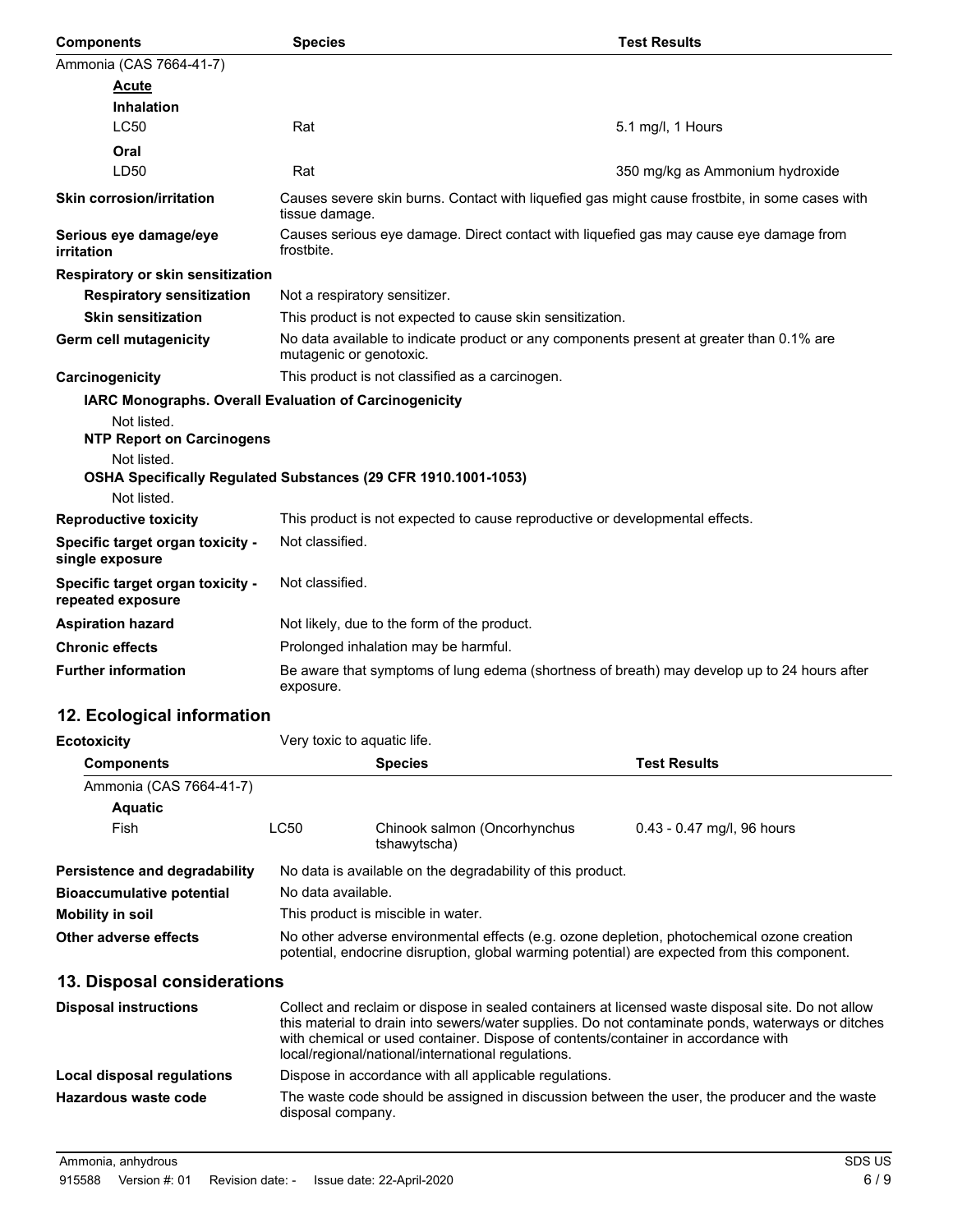| <b>Components</b>                                     | <b>Species</b>                                                                                                      | <b>Test Results</b>                                                                         |  |
|-------------------------------------------------------|---------------------------------------------------------------------------------------------------------------------|---------------------------------------------------------------------------------------------|--|
| Ammonia (CAS 7664-41-7)                               |                                                                                                                     |                                                                                             |  |
| <b>Acute</b>                                          |                                                                                                                     |                                                                                             |  |
| <b>Inhalation</b>                                     |                                                                                                                     |                                                                                             |  |
| <b>LC50</b>                                           | Rat                                                                                                                 | 5.1 mg/l, 1 Hours                                                                           |  |
| Oral                                                  |                                                                                                                     |                                                                                             |  |
| LD50                                                  | Rat                                                                                                                 | 350 mg/kg as Ammonium hydroxide                                                             |  |
| <b>Skin corrosion/irritation</b>                      | Causes severe skin burns. Contact with liquefied gas might cause frostbite, in some cases with<br>tissue damage.    |                                                                                             |  |
| Serious eye damage/eye<br>irritation                  | Causes serious eye damage. Direct contact with liquefied gas may cause eye damage from<br>frostbite.                |                                                                                             |  |
| Respiratory or skin sensitization                     |                                                                                                                     |                                                                                             |  |
| <b>Respiratory sensitization</b>                      | Not a respiratory sensitizer.                                                                                       |                                                                                             |  |
| <b>Skin sensitization</b>                             | This product is not expected to cause skin sensitization.                                                           |                                                                                             |  |
| Germ cell mutagenicity                                | No data available to indicate product or any components present at greater than 0.1% are<br>mutagenic or genotoxic. |                                                                                             |  |
| Carcinogenicity                                       | This product is not classified as a carcinogen.                                                                     |                                                                                             |  |
|                                                       | IARC Monographs. Overall Evaluation of Carcinogenicity                                                              |                                                                                             |  |
| Not listed.                                           |                                                                                                                     |                                                                                             |  |
| <b>NTP Report on Carcinogens</b>                      |                                                                                                                     |                                                                                             |  |
| Not listed.                                           |                                                                                                                     |                                                                                             |  |
| Not listed.                                           | OSHA Specifically Regulated Substances (29 CFR 1910.1001-1053)                                                      |                                                                                             |  |
| <b>Reproductive toxicity</b>                          | This product is not expected to cause reproductive or developmental effects.                                        |                                                                                             |  |
| Specific target organ toxicity -                      | Not classified.                                                                                                     |                                                                                             |  |
| single exposure                                       |                                                                                                                     |                                                                                             |  |
| Specific target organ toxicity -<br>repeated exposure | Not classified.                                                                                                     |                                                                                             |  |
| <b>Aspiration hazard</b>                              | Not likely, due to the form of the product.                                                                         |                                                                                             |  |
| <b>Chronic effects</b>                                | Prolonged inhalation may be harmful.                                                                                |                                                                                             |  |
| <b>Further information</b>                            | exposure.                                                                                                           | Be aware that symptoms of lung edema (shortness of breath) may develop up to 24 hours after |  |
|                                                       |                                                                                                                     |                                                                                             |  |

# **12. Ecological information**

| <b>Ecotoxicity</b>               |                                                                                                                                                                                                                                                                                                                                                   | Very toxic to aquatic life.                  |                                                                                              |  |
|----------------------------------|---------------------------------------------------------------------------------------------------------------------------------------------------------------------------------------------------------------------------------------------------------------------------------------------------------------------------------------------------|----------------------------------------------|----------------------------------------------------------------------------------------------|--|
| <b>Components</b>                | <b>Species</b>                                                                                                                                                                                                                                                                                                                                    |                                              | <b>Test Results</b>                                                                          |  |
| Ammonia (CAS 7664-41-7)          |                                                                                                                                                                                                                                                                                                                                                   |                                              |                                                                                              |  |
| <b>Aquatic</b>                   |                                                                                                                                                                                                                                                                                                                                                   |                                              |                                                                                              |  |
| Fish                             | LC50                                                                                                                                                                                                                                                                                                                                              | Chinook salmon (Oncorhynchus<br>tshawytscha) | $0.43 - 0.47$ mg/l, 96 hours                                                                 |  |
| Persistence and degradability    | No data is available on the degradability of this product.                                                                                                                                                                                                                                                                                        |                                              |                                                                                              |  |
| <b>Bioaccumulative potential</b> | No data available.                                                                                                                                                                                                                                                                                                                                |                                              |                                                                                              |  |
| Mobility in soil                 | This product is miscible in water.                                                                                                                                                                                                                                                                                                                |                                              |                                                                                              |  |
| Other adverse effects            | No other adverse environmental effects (e.g. ozone depletion, photochemical ozone creation<br>potential, endocrine disruption, global warming potential) are expected from this component.                                                                                                                                                        |                                              |                                                                                              |  |
| 13. Disposal considerations      |                                                                                                                                                                                                                                                                                                                                                   |                                              |                                                                                              |  |
| <b>Disposal instructions</b>     | Collect and reclaim or dispose in sealed containers at licensed waste disposal site. Do not allow<br>this material to drain into sewers/water supplies. Do not contaminate ponds, waterways or ditches<br>with chemical or used container. Dispose of contents/container in accordance with<br>local/regional/national/international regulations. |                                              |                                                                                              |  |
| Local disposal regulations       | Dispose in accordance with all applicable regulations.                                                                                                                                                                                                                                                                                            |                                              |                                                                                              |  |
| Hazardous waste code             | disposal company.                                                                                                                                                                                                                                                                                                                                 |                                              | The waste code should be assigned in discussion between the user, the producer and the waste |  |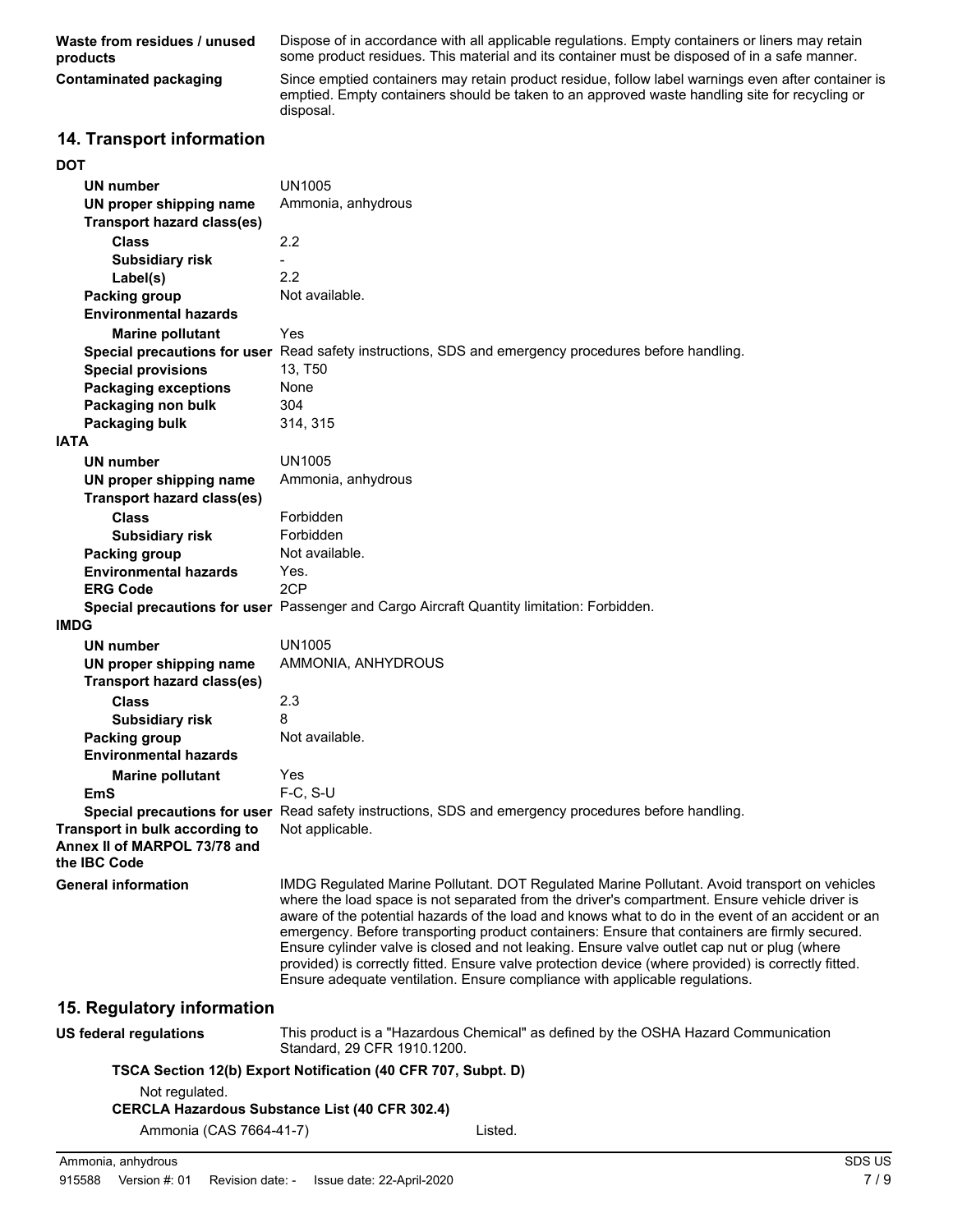**Waste from residues / unused products**

Dispose of in accordance with all applicable regulations. Empty containers or liners may retain some product residues. This material and its container must be disposed of in a safe manner.

**Contaminated packaging**

Since emptied containers may retain product residue, follow label warnings even after container is emptied. Empty containers should be taken to an approved waste handling site for recycling or disposal.

### **14. Transport information**

#### **DOT**

| UN number                                                                             | <b>UN1005</b>                                                                                                                                                                                                                                                                                                                                                                                                                                                                                                                                                                                                                                                                            |
|---------------------------------------------------------------------------------------|------------------------------------------------------------------------------------------------------------------------------------------------------------------------------------------------------------------------------------------------------------------------------------------------------------------------------------------------------------------------------------------------------------------------------------------------------------------------------------------------------------------------------------------------------------------------------------------------------------------------------------------------------------------------------------------|
| UN proper shipping name<br><b>Transport hazard class(es)</b>                          | Ammonia, anhydrous                                                                                                                                                                                                                                                                                                                                                                                                                                                                                                                                                                                                                                                                       |
| <b>Class</b>                                                                          | 2.2                                                                                                                                                                                                                                                                                                                                                                                                                                                                                                                                                                                                                                                                                      |
| <b>Subsidiary risk</b>                                                                |                                                                                                                                                                                                                                                                                                                                                                                                                                                                                                                                                                                                                                                                                          |
| Label(s)                                                                              | 2.2                                                                                                                                                                                                                                                                                                                                                                                                                                                                                                                                                                                                                                                                                      |
| Packing group<br><b>Environmental hazards</b>                                         | Not available.                                                                                                                                                                                                                                                                                                                                                                                                                                                                                                                                                                                                                                                                           |
| <b>Marine pollutant</b>                                                               | Yes                                                                                                                                                                                                                                                                                                                                                                                                                                                                                                                                                                                                                                                                                      |
|                                                                                       | Special precautions for user Read safety instructions, SDS and emergency procedures before handling.                                                                                                                                                                                                                                                                                                                                                                                                                                                                                                                                                                                     |
| <b>Special provisions</b>                                                             | 13, T50                                                                                                                                                                                                                                                                                                                                                                                                                                                                                                                                                                                                                                                                                  |
| <b>Packaging exceptions</b>                                                           | None                                                                                                                                                                                                                                                                                                                                                                                                                                                                                                                                                                                                                                                                                     |
| Packaging non bulk                                                                    | 304                                                                                                                                                                                                                                                                                                                                                                                                                                                                                                                                                                                                                                                                                      |
| <b>Packaging bulk</b>                                                                 | 314, 315                                                                                                                                                                                                                                                                                                                                                                                                                                                                                                                                                                                                                                                                                 |
| <b>IATA</b>                                                                           |                                                                                                                                                                                                                                                                                                                                                                                                                                                                                                                                                                                                                                                                                          |
| UN number                                                                             | <b>UN1005</b>                                                                                                                                                                                                                                                                                                                                                                                                                                                                                                                                                                                                                                                                            |
| UN proper shipping name                                                               | Ammonia, anhydrous                                                                                                                                                                                                                                                                                                                                                                                                                                                                                                                                                                                                                                                                       |
| <b>Transport hazard class(es)</b>                                                     |                                                                                                                                                                                                                                                                                                                                                                                                                                                                                                                                                                                                                                                                                          |
| <b>Class</b>                                                                          | Forbidden                                                                                                                                                                                                                                                                                                                                                                                                                                                                                                                                                                                                                                                                                |
| <b>Subsidiary risk</b>                                                                | Forbidden                                                                                                                                                                                                                                                                                                                                                                                                                                                                                                                                                                                                                                                                                |
| Packing group                                                                         | Not available.                                                                                                                                                                                                                                                                                                                                                                                                                                                                                                                                                                                                                                                                           |
| <b>Environmental hazards</b>                                                          | Yes.                                                                                                                                                                                                                                                                                                                                                                                                                                                                                                                                                                                                                                                                                     |
| <b>ERG Code</b>                                                                       | 2CP                                                                                                                                                                                                                                                                                                                                                                                                                                                                                                                                                                                                                                                                                      |
|                                                                                       | Special precautions for user Passenger and Cargo Aircraft Quantity limitation: Forbidden.                                                                                                                                                                                                                                                                                                                                                                                                                                                                                                                                                                                                |
| <b>IMDG</b>                                                                           |                                                                                                                                                                                                                                                                                                                                                                                                                                                                                                                                                                                                                                                                                          |
| <b>UN number</b>                                                                      | <b>UN1005</b>                                                                                                                                                                                                                                                                                                                                                                                                                                                                                                                                                                                                                                                                            |
| UN proper shipping name                                                               | AMMONIA, ANHYDROUS                                                                                                                                                                                                                                                                                                                                                                                                                                                                                                                                                                                                                                                                       |
| <b>Transport hazard class(es)</b>                                                     |                                                                                                                                                                                                                                                                                                                                                                                                                                                                                                                                                                                                                                                                                          |
| <b>Class</b>                                                                          | 2.3                                                                                                                                                                                                                                                                                                                                                                                                                                                                                                                                                                                                                                                                                      |
| <b>Subsidiary risk</b>                                                                | 8                                                                                                                                                                                                                                                                                                                                                                                                                                                                                                                                                                                                                                                                                        |
| Packing group                                                                         | Not available.                                                                                                                                                                                                                                                                                                                                                                                                                                                                                                                                                                                                                                                                           |
| <b>Environmental hazards</b>                                                          |                                                                                                                                                                                                                                                                                                                                                                                                                                                                                                                                                                                                                                                                                          |
| <b>Marine pollutant</b>                                                               | Yes                                                                                                                                                                                                                                                                                                                                                                                                                                                                                                                                                                                                                                                                                      |
| EmS                                                                                   | $F-C. S-U$                                                                                                                                                                                                                                                                                                                                                                                                                                                                                                                                                                                                                                                                               |
|                                                                                       | Special precautions for user Read safety instructions, SDS and emergency procedures before handling.                                                                                                                                                                                                                                                                                                                                                                                                                                                                                                                                                                                     |
| Transport in bulk according to<br>Annex II of MARPOL 73/78 and<br>the <b>IBC</b> Code | Not applicable.                                                                                                                                                                                                                                                                                                                                                                                                                                                                                                                                                                                                                                                                          |
| <b>General information</b>                                                            | IMDG Regulated Marine Pollutant. DOT Regulated Marine Pollutant. Avoid transport on vehicles<br>where the load space is not separated from the driver's compartment. Ensure vehicle driver is<br>aware of the potential hazards of the load and knows what to do in the event of an accident or an<br>emergency. Before transporting product containers: Ensure that containers are firmly secured.<br>Ensure cylinder valve is closed and not leaking. Ensure valve outlet cap nut or plug (where<br>provided) is correctly fitted. Ensure valve protection device (where provided) is correctly fitted.<br>Ensure adequate ventilation. Ensure compliance with applicable regulations. |
| 15. Regulatory information                                                            |                                                                                                                                                                                                                                                                                                                                                                                                                                                                                                                                                                                                                                                                                          |
| <b>US federal regulations</b>                                                         | This product is a "Hazardous Chemical" as defined by the OSHA Hazard Communication<br>Standard, 29 CFR 1910.1200.                                                                                                                                                                                                                                                                                                                                                                                                                                                                                                                                                                        |
|                                                                                       | TSCA Section 12(b) Export Notification (40 CFR 707, Subpt. D)                                                                                                                                                                                                                                                                                                                                                                                                                                                                                                                                                                                                                            |
| Not regulated.                                                                        |                                                                                                                                                                                                                                                                                                                                                                                                                                                                                                                                                                                                                                                                                          |
|                                                                                       | <b>CERCLA Hazardous Substance List (40 CFR 302.4)</b>                                                                                                                                                                                                                                                                                                                                                                                                                                                                                                                                                                                                                                    |
| Ammonia (CAS 7664-41-7)                                                               | Listed.                                                                                                                                                                                                                                                                                                                                                                                                                                                                                                                                                                                                                                                                                  |
|                                                                                       |                                                                                                                                                                                                                                                                                                                                                                                                                                                                                                                                                                                                                                                                                          |
| Ammonia, anhydrous                                                                    | SDS US                                                                                                                                                                                                                                                                                                                                                                                                                                                                                                                                                                                                                                                                                   |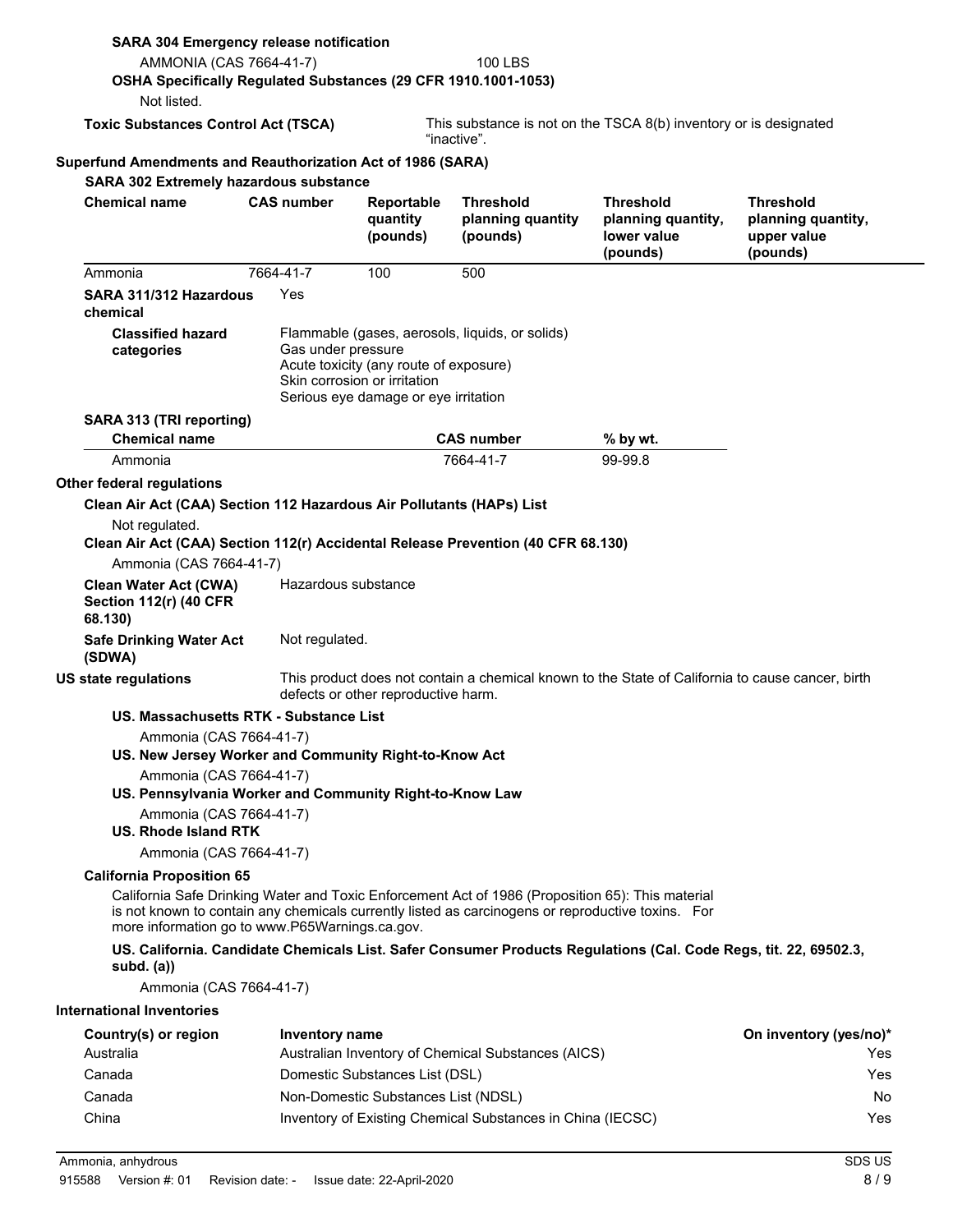| <b>SARA 304 Emergency release notification</b><br>AMMONIA (CAS 7664-41-7)                                                     |                       |                                                                                                                | <b>100 LBS</b>                                                                                                                                                                                        |                                                                                                                  |                                                                   |
|-------------------------------------------------------------------------------------------------------------------------------|-----------------------|----------------------------------------------------------------------------------------------------------------|-------------------------------------------------------------------------------------------------------------------------------------------------------------------------------------------------------|------------------------------------------------------------------------------------------------------------------|-------------------------------------------------------------------|
| OSHA Specifically Regulated Substances (29 CFR 1910.1001-1053)<br>Not listed.                                                 |                       |                                                                                                                |                                                                                                                                                                                                       |                                                                                                                  |                                                                   |
| <b>Toxic Substances Control Act (TSCA)</b>                                                                                    |                       |                                                                                                                | "inactive".                                                                                                                                                                                           | This substance is not on the TSCA 8(b) inventory or is designated                                                |                                                                   |
| Superfund Amendments and Reauthorization Act of 1986 (SARA)                                                                   |                       |                                                                                                                |                                                                                                                                                                                                       |                                                                                                                  |                                                                   |
| <b>SARA 302 Extremely hazardous substance</b>                                                                                 |                       |                                                                                                                |                                                                                                                                                                                                       |                                                                                                                  |                                                                   |
| <b>Chemical name</b>                                                                                                          | <b>CAS number</b>     | Reportable<br>quantity<br>(pounds)                                                                             | <b>Threshold</b><br>planning quantity<br>(pounds)                                                                                                                                                     | <b>Threshold</b><br>planning quantity,<br>lower value<br>(pounds)                                                | <b>Threshold</b><br>planning quantity,<br>upper value<br>(pounds) |
| Ammonia                                                                                                                       | 7664-41-7             | 100                                                                                                            | 500                                                                                                                                                                                                   |                                                                                                                  |                                                                   |
| SARA 311/312 Hazardous<br>chemical                                                                                            | Yes                   |                                                                                                                |                                                                                                                                                                                                       |                                                                                                                  |                                                                   |
| <b>Classified hazard</b><br>categories                                                                                        | Gas under pressure    | Acute toxicity (any route of exposure)<br>Skin corrosion or irritation<br>Serious eye damage or eye irritation | Flammable (gases, aerosols, liquids, or solids)                                                                                                                                                       |                                                                                                                  |                                                                   |
| SARA 313 (TRI reporting)                                                                                                      |                       |                                                                                                                |                                                                                                                                                                                                       |                                                                                                                  |                                                                   |
| <b>Chemical name</b>                                                                                                          |                       |                                                                                                                | <b>CAS number</b>                                                                                                                                                                                     | % by wt.                                                                                                         |                                                                   |
| Ammonia                                                                                                                       |                       |                                                                                                                | 7664-41-7                                                                                                                                                                                             | 99-99.8                                                                                                          |                                                                   |
| <b>Other federal regulations</b>                                                                                              |                       |                                                                                                                |                                                                                                                                                                                                       |                                                                                                                  |                                                                   |
| Clean Air Act (CAA) Section 112 Hazardous Air Pollutants (HAPs) List                                                          |                       |                                                                                                                |                                                                                                                                                                                                       |                                                                                                                  |                                                                   |
| Not regulated.<br>Clean Air Act (CAA) Section 112(r) Accidental Release Prevention (40 CFR 68.130)<br>Ammonia (CAS 7664-41-7) |                       |                                                                                                                |                                                                                                                                                                                                       |                                                                                                                  |                                                                   |
| <b>Clean Water Act (CWA)</b><br><b>Section 112(r) (40 CFR</b><br>68.130)                                                      | Hazardous substance   |                                                                                                                |                                                                                                                                                                                                       |                                                                                                                  |                                                                   |
| <b>Safe Drinking Water Act</b><br>(SDWA)                                                                                      | Not regulated.        |                                                                                                                |                                                                                                                                                                                                       |                                                                                                                  |                                                                   |
| <b>US state regulations</b>                                                                                                   |                       | defects or other reproductive harm.                                                                            |                                                                                                                                                                                                       | This product does not contain a chemical known to the State of California to cause cancer, birth                 |                                                                   |
| US. Massachusetts RTK - Substance List                                                                                        |                       |                                                                                                                |                                                                                                                                                                                                       |                                                                                                                  |                                                                   |
| Ammonia (CAS 7664-41-7)<br>US. New Jersey Worker and Community Right-to-Know Act<br>Ammonia (CAS 7664-41-7)                   |                       |                                                                                                                |                                                                                                                                                                                                       |                                                                                                                  |                                                                   |
| US. Pennsylvania Worker and Community Right-to-Know Law<br>Ammonia (CAS 7664-41-7)                                            |                       |                                                                                                                |                                                                                                                                                                                                       |                                                                                                                  |                                                                   |
| US. Rhode Island RTK                                                                                                          |                       |                                                                                                                |                                                                                                                                                                                                       |                                                                                                                  |                                                                   |
| Ammonia (CAS 7664-41-7)                                                                                                       |                       |                                                                                                                |                                                                                                                                                                                                       |                                                                                                                  |                                                                   |
| <b>California Proposition 65</b><br>more information go to www.P65Warnings.ca.gov.                                            |                       |                                                                                                                | California Safe Drinking Water and Toxic Enforcement Act of 1986 (Proposition 65): This material<br>is not known to contain any chemicals currently listed as carcinogens or reproductive toxins. For |                                                                                                                  |                                                                   |
| subd. $(a)$                                                                                                                   |                       |                                                                                                                |                                                                                                                                                                                                       | US. California. Candidate Chemicals List. Safer Consumer Products Regulations (Cal. Code Regs, tit. 22, 69502.3, |                                                                   |
| Ammonia (CAS 7664-41-7)                                                                                                       |                       |                                                                                                                |                                                                                                                                                                                                       |                                                                                                                  |                                                                   |
| <b>International Inventories</b>                                                                                              |                       |                                                                                                                |                                                                                                                                                                                                       |                                                                                                                  |                                                                   |
| Country(s) or region                                                                                                          | <b>Inventory name</b> |                                                                                                                |                                                                                                                                                                                                       |                                                                                                                  | On inventory (yes/no)*                                            |
| Australia                                                                                                                     |                       |                                                                                                                | Australian Inventory of Chemical Substances (AICS)                                                                                                                                                    |                                                                                                                  | Yes                                                               |
| Canada                                                                                                                        |                       | Domestic Substances List (DSL)                                                                                 |                                                                                                                                                                                                       |                                                                                                                  | Yes                                                               |
| Canada                                                                                                                        |                       | Non-Domestic Substances List (NDSL)                                                                            |                                                                                                                                                                                                       |                                                                                                                  | No.                                                               |
| China                                                                                                                         |                       |                                                                                                                | Inventory of Existing Chemical Substances in China (IECSC)                                                                                                                                            |                                                                                                                  | Yes                                                               |
|                                                                                                                               |                       |                                                                                                                |                                                                                                                                                                                                       |                                                                                                                  | SDS US                                                            |
| Ammonia, anhydrous                                                                                                            |                       |                                                                                                                |                                                                                                                                                                                                       |                                                                                                                  |                                                                   |